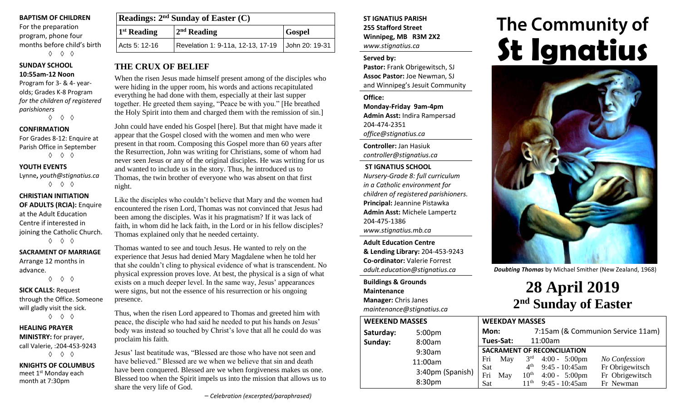#### **BAPTISM OF CHILDREN**

For the preparation program, phone four months before child's birth ◊ ◊ ◊

# **SUNDAY SCHOOL**

**10:55am-12 Noon** Program for 3- & 4- yearolds; Grades K-8 Program *for the children of registered parishioners*

◊ ◊ ◊

#### **CONFIRMATION**

For Grades 8-12: Enquire at Parish Office in September ◊ ◊ ◊

#### **YOUTH EVENTS**

Lynne**,** *youth@stignatius.ca* ◊ ◊ ◊

#### **CHRISTIAN INITIATION OF ADULTS (RCIA):** Enquire at the Adult Education Centre if interested in joining the Catholic Church. ◊ ◊ ◊

#### **SACRAMENT OF MARRIAGE** Arrange 12 months in

advance. ◊ ◊ ◊

# **SICK CALLS:** Request

through the Office. Someone will gladly visit the sick. ◊ ◊ ◊

#### **HEALING PRAYER MINISTRY:** for prayer,

call Valerie, :204-453-9243 ◊ ◊ ◊

**KNIGHTS OF COLUMBUS** meet 1<sup>st</sup> Monday each month at 7:30pm

| <b>Readings:</b> $2^{nd}$ Sunday of Easter $(C)$ |                                                    |  |  |  |
|--------------------------------------------------|----------------------------------------------------|--|--|--|
| 1 <sup>st</sup> Reading                          | $2nd$ Reading<br><b>Gospel</b>                     |  |  |  |
| Acts 5: 12-16                                    | Revelation 1: 9-11a, 12-13, 17-19   John 20: 19-31 |  |  |  |

### **THE CRUX OF BELIEF**

When the risen Jesus made himself present among of the disciples who were hiding in the upper room, his words and actions recapitulated everything he had done with them, especially at their last supper together. He greeted them saying, "Peace be with you." [He breathed the Holy Spirit into them and charged them with the remission of sin.]

John could have ended his Gospel [here]. But that might have made it appear that the Gospel closed with the women and men who were present in that room. Composing this Gospel more than 60 years after the Resurrection, John was writing for Christians, some of whom had never seen Jesus or any of the original disciples. He was writing for us and wanted to include us in the story. Thus, he introduced us to Thomas, the twin brother of everyone who was absent on that first night.

Like the disciples who couldn't believe that Mary and the women had encountered the risen Lord, Thomas was not convinced that Jesus had been among the disciples. Was it his pragmatism? If it was lack of faith, in whom did he lack faith, in the Lord or in his fellow disciples? Thomas explained only that he needed certainty.

Thomas wanted to see and touch Jesus. He wanted to rely on the experience that Jesus had denied Mary Magdalene when he told her that she couldn't cling to physical evidence of what is transcendent. No physical expression proves love. At best, the physical is a sign of what exists on a much deeper level. In the same way, Jesus' appearances were signs, but not the essence of his resurrection or his ongoing presence.

Thus, when the risen Lord appeared to Thomas and greeted him with peace, the disciple who had said he needed to put his hands on Jesus' body was instead so touched by Christ's love that all he could do was proclaim his faith.

Jesus' last beatitude was, "Blessed are those who have not seen and have believed." Blessed are we when we believe that sin and death have been conquered. Blessed are we when forgiveness makes us one. Blessed too when the Spirit impels us into the mission that allows us to share the very life of God.

– *Celebration (excerpted/paraphrased)*

#### **ST IGNATIUS PARISH 255 Stafford Street Winnipeg, MB R3M 2X2** *www.stignatius.ca*

#### **Served by:**

**Pastor:** Frank Obrigewitsch, SJ **Assoc Pastor:** Joe Newman, SJ and Winnipeg's Jesuit Community

**Office: Monday-Friday 9am-4pm Admin Asst:** Indira Rampersad 204-474-2351 *office@stignatius.ca*

**Controller:** Jan Hasiuk *controller@stignatius.ca*

#### **ST IGNATIUS SCHOOL**

*Nursery-Grade 8: full curriculum in a Catholic environment for children of registered parishioners.* **Principal:** Jeannine Pistawka **Admin Asst:** Michele Lampertz 204-475-1386 *www.stignatius.mb.ca*

**Adult Education Centre & Lending Library:** 204-453-9243 **Co-ordinator:** Valerie Forrest *adult.education@stignatius.ca*

#### **Buildings & Grounds Maintenance Manager:** Chris Janes

*maintenance@stignatius.ca*

| <b>WEEKEND MASSES</b> |                    |                                    | <b>WEEKDAY MASSES</b> |  |                                                 |                                |
|-----------------------|--------------------|------------------------------------|-----------------------|--|-------------------------------------------------|--------------------------------|
| Saturday:             | 5:00 <sub>pm</sub> |                                    | Mon:                  |  | 7:15am (& Communion Service 11                  |                                |
| Sunday:               | 8:00am             |                                    | Tues-Sat:             |  | 11:00am                                         |                                |
|                       | 9:30am             | <b>SACRAMENT OF RECONCILIATION</b> |                       |  |                                                 |                                |
|                       | 11:00am            | Fri                                | May                   |  | $3rd$ 4:00 - 5:00pm                             | No Confession                  |
|                       | 3:40pm (Spanish)   | Sat<br>Fri                         | May                   |  | $4th$ 9:45 - 10:45am<br>$10^{th}$ 4:00 - 5:00pm | Fr Obrigewits<br>Fr Obrigewits |
|                       | 8:30pm             | Sat                                |                       |  | $11th$ 9:45 - 10:45am                           | Fr Newman                      |

# **The Community of St Ignatius**



*Doubting Thomas* by Michael Smither (New Zealand, 1968)

# **28 April 2019 2 nd Sunday of Easter**

|         |      | VVLLINUMI IVIMJJLJ |                  |                                    |                                   |
|---------|------|--------------------|------------------|------------------------------------|-----------------------------------|
|         | Mon: |                    |                  |                                    | 7:15am (& Communion Service 11am) |
|         |      | Tues-Sat:          |                  | 11:00am                            |                                   |
|         |      |                    |                  | <b>SACRAMENT OF RECONCILIATION</b> |                                   |
|         | Fri  | May                | 3 <sup>rd</sup>  | $4:00 - 5:00 \text{pm}$            | No Confession                     |
|         | Sat  |                    | 4 <sup>th</sup>  | $9:45 - 10:45$ am                  | Fr Obrigewitsch                   |
| panish) | Fri  | May                | 10 <sup>th</sup> | $4:00 - 5:00 \text{pm}$            | Fr Obrigewitsch                   |
|         | Sat  |                    | 11 <sup>th</sup> | $9:45 - 10:45$ am                  | Fr Newman                         |
|         |      |                    |                  |                                    |                                   |